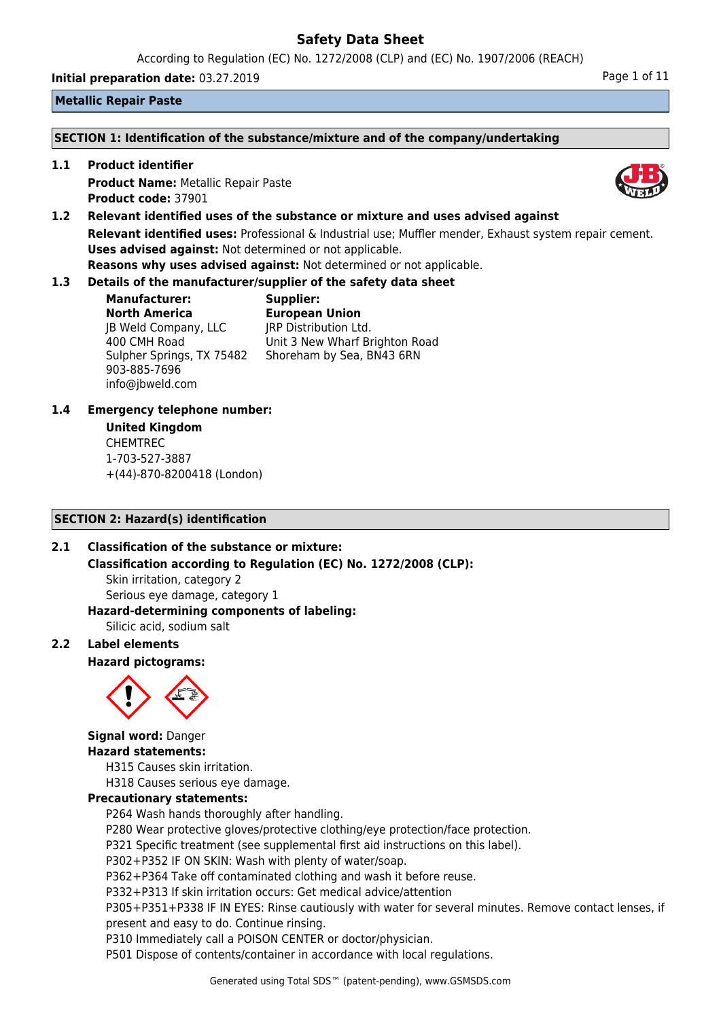According to Regulation (EC) No. 1272/2008 (CLP) and (EC) No. 1907/2006 (REACH)

**Initial preparation date:** 03.27.2019 **Page 1 of 11 Page 1 of 11** 

# **Metallic Repair Paste**

### **SECTION 1: Identification of the substance/mixture and of the company/undertaking**

**1.1 Product identifier**

**Product Name:** Metallic Repair Paste **Product code:** 37901

**1.2 Relevant identified uses of the substance or mixture and uses advised against Relevant identified uses:** Professional & Industrial use; Muffler mender, Exhaust system repair cement. **Uses advised against:** Not determined or not applicable. **Reasons why uses advised against:** Not determined or not applicable.

# **1.3 Details of the manufacturer/supplier of the safety data sheet**

**Manufacturer: North America** JB Weld Company, LLC 400 CMH Road Sulpher Springs, TX 75482 903-885-7696 info@jbweld.com

**Supplier: European Union** JRP Distribution Ltd. Unit 3 New Wharf Brighton Road Shoreham by Sea, BN43 6RN

# **1.4 Emergency telephone number:**

# **United Kingdom** CHEMTREC 1-703-527-3887 +(44)-870-8200418 (London)

# **SECTION 2: Hazard(s) identification**

# **2.1 Classification of the substance or mixture:**

**Classification according to Regulation (EC) No. 1272/2008 (CLP):**

Skin irritation, category 2 Serious eye damage, category 1

#### **Hazard-determining components of labeling:**

Silicic acid, sodium salt

# **2.2 Label elements**

# **Hazard pictograms:**



**Signal word:** Danger

# **Hazard statements:**

H315 Causes skin irritation.

H318 Causes serious eye damage.

# **Precautionary statements:**

P264 Wash hands thoroughly after handling.

P280 Wear protective gloves/protective clothing/eye protection/face protection.

P321 Specific treatment (see supplemental first aid instructions on this label).

P302+P352 IF ON SKIN: Wash with plenty of water/soap.

P362+P364 Take off contaminated clothing and wash it before reuse.

P332+P313 If skin irritation occurs: Get medical advice/attention

P305+P351+P338 IF IN EYES: Rinse cautiously with water for several minutes. Remove contact lenses, if present and easy to do. Continue rinsing.

P310 Immediately call a POISON CENTER or doctor/physician.

P501 Dispose of contents/container in accordance with local regulations.



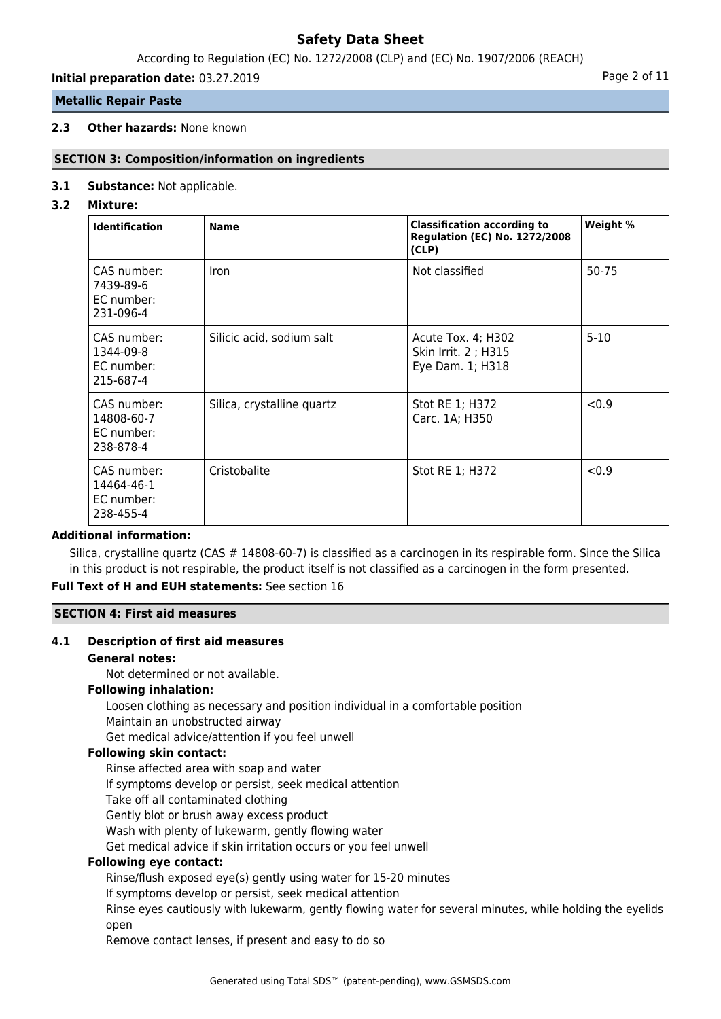According to Regulation (EC) No. 1272/2008 (CLP) and (EC) No. 1907/2006 (REACH)

# **Initial preparation date:** 03.27.2019 **Page 2 of 11**

# **Metallic Repair Paste**

# **2.3 Other hazards:** None known

# **SECTION 3: Composition/information on ingredients**

## **3.1 Substance:** Not applicable.

## **3.2 Mixture:**

| <b>Identification</b>                                | <b>Name</b>                | <b>Classification according to</b><br><b>Regulation (EC) No. 1272/2008</b><br>(CLP) | Weight % |
|------------------------------------------------------|----------------------------|-------------------------------------------------------------------------------------|----------|
| CAS number:<br>7439-89-6<br>EC number:<br>231-096-4  | Iron                       | Not classified                                                                      | 50-75    |
| CAS number:<br>1344-09-8<br>EC number:<br>215-687-4  | Silicic acid, sodium salt  | Acute Tox. 4; H302<br>Skin Irrit. 2 ; H315<br>Eye Dam. 1; H318                      | $5 - 10$ |
| CAS number:<br>14808-60-7<br>EC number:<br>238-878-4 | Silica, crystalline quartz | Stot RE 1; H372<br>Carc. 1A; H350                                                   | < 0.9    |
| CAS number:<br>14464-46-1<br>EC number:<br>238-455-4 | Cristobalite               | Stot RE 1; H372                                                                     | < 0.9    |

## **Additional information:**

Silica, crystalline quartz (CAS # 14808-60-7) is classified as a carcinogen in its respirable form. Since the Silica in this product is not respirable, the product itself is not classified as a carcinogen in the form presented.

# **Full Text of H and EUH statements:** See section 16

# **SECTION 4: First aid measures**

#### **4.1 Description of first aid measures**

#### **General notes:**

Not determined or not available.

# **Following inhalation:**

Loosen clothing as necessary and position individual in a comfortable position

# Maintain an unobstructed airway

Get medical advice/attention if you feel unwell

#### **Following skin contact:**

Rinse affected area with soap and water

If symptoms develop or persist, seek medical attention

Take off all contaminated clothing

Gently blot or brush away excess product

Wash with plenty of lukewarm, gently flowing water

Get medical advice if skin irritation occurs or you feel unwell

# **Following eye contact:**

Rinse/flush exposed eye(s) gently using water for 15-20 minutes

If symptoms develop or persist, seek medical attention

Rinse eyes cautiously with lukewarm, gently flowing water for several minutes, while holding the eyelids open

Remove contact lenses, if present and easy to do so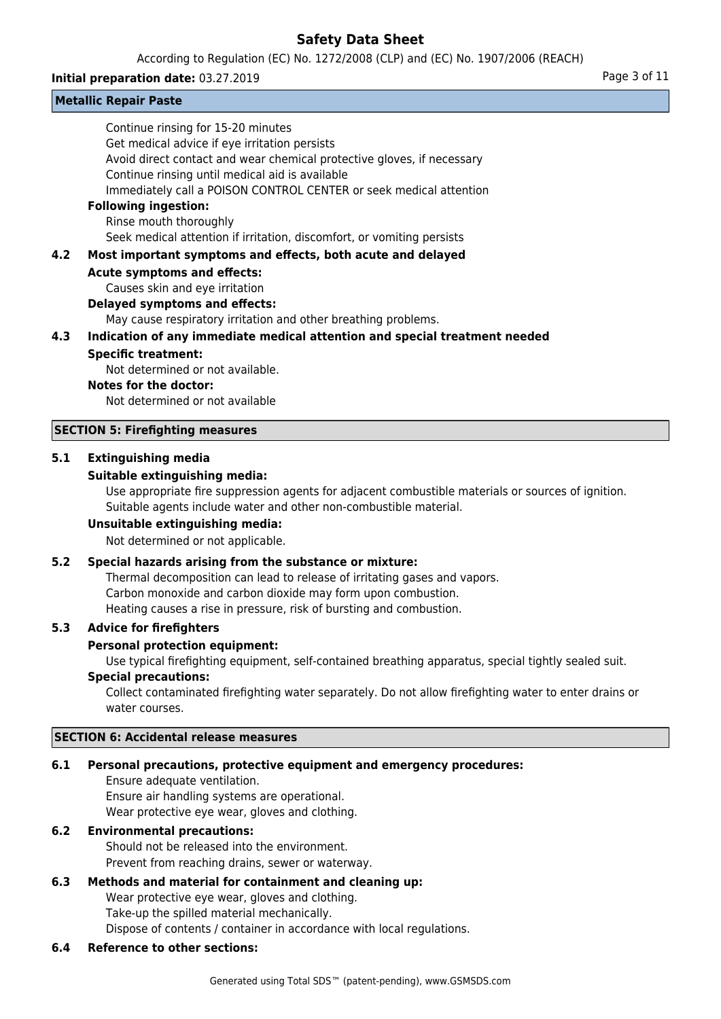According to Regulation (EC) No. 1272/2008 (CLP) and (EC) No. 1907/2006 (REACH)

### **Initial preparation date:** 03.27.2019 **Page 3 of 11**

|     | <b>Metallic Repair Paste</b>                                               |
|-----|----------------------------------------------------------------------------|
|     | Continue rinsing for 15-20 minutes                                         |
|     | Get medical advice if eye irritation persists                              |
|     | Avoid direct contact and wear chemical protective gloves, if necessary     |
|     | Continue rinsing until medical aid is available                            |
|     | Immediately call a POISON CONTROL CENTER or seek medical attention         |
|     | <b>Following ingestion:</b>                                                |
|     | Rinse mouth thoroughly                                                     |
|     | Seek medical attention if irritation, discomfort, or vomiting persists     |
| 4.2 | Most important symptoms and effects, both acute and delayed                |
|     | <b>Acute symptoms and effects:</b>                                         |
|     | Causes skin and eye irritation                                             |
|     | <b>Delayed symptoms and effects:</b>                                       |
|     | May cause respiratory irritation and other breathing problems.             |
| 4.3 | Indication of any immediate medical attention and special treatment needed |
|     | <b>Specific treatment:</b>                                                 |
|     | Not determined or not available.                                           |
|     | Notes for the doctor:                                                      |
|     | Not determined or not available                                            |
|     | <b>SECTION 5: Firefighting measures</b>                                    |
| 5.1 | <b>Extinguishing media</b>                                                 |

## **Suitable extinguishing media:**

Use appropriate fire suppression agents for adjacent combustible materials or sources of ignition. Suitable agents include water and other non-combustible material.

#### **Unsuitable extinguishing media:**

Not determined or not applicable.

## **5.2 Special hazards arising from the substance or mixture:**

Thermal decomposition can lead to release of irritating gases and vapors. Carbon monoxide and carbon dioxide may form upon combustion. Heating causes a rise in pressure, risk of bursting and combustion.

#### **5.3 Advice for firefighters**

#### **Personal protection equipment:**

Use typical firefighting equipment, self-contained breathing apparatus, special tightly sealed suit.

#### **Special precautions:**

Collect contaminated firefighting water separately. Do not allow firefighting water to enter drains or water courses.

#### **SECTION 6: Accidental release measures**

#### **6.1 Personal precautions, protective equipment and emergency procedures:**

Ensure adequate ventilation. Ensure air handling systems are operational. Wear protective eye wear, gloves and clothing.

#### **6.2 Environmental precautions:**

Should not be released into the environment. Prevent from reaching drains, sewer or waterway.

#### **6.3 Methods and material for containment and cleaning up:**

Wear protective eye wear, gloves and clothing. Take-up the spilled material mechanically. Dispose of contents / container in accordance with local regulations.

#### **6.4 Reference to other sections:**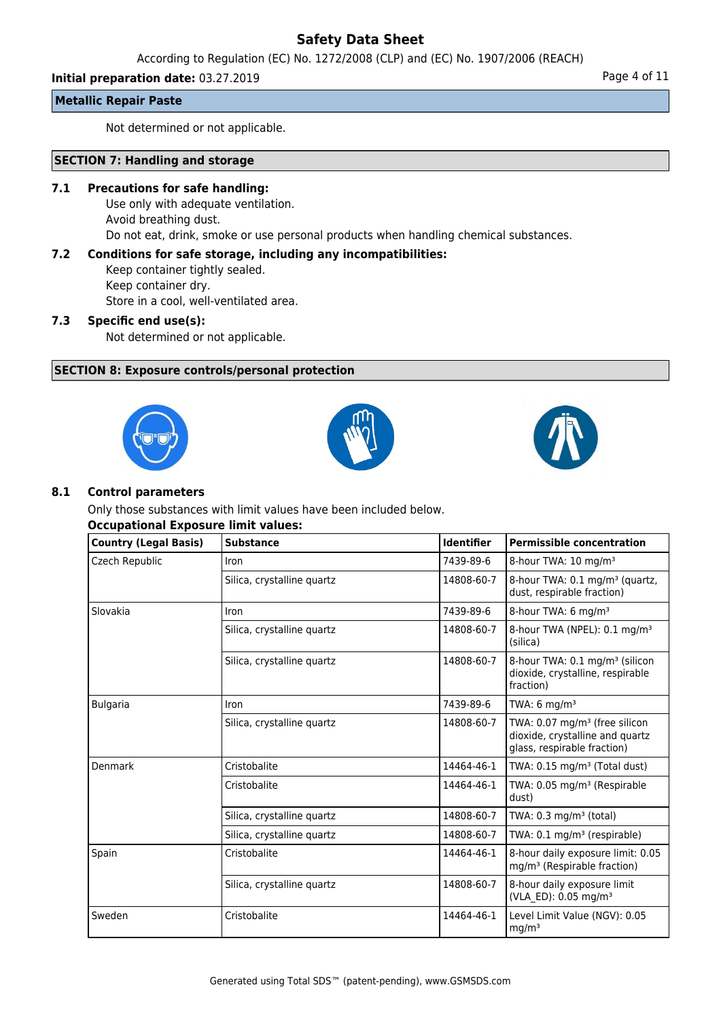According to Regulation (EC) No. 1272/2008 (CLP) and (EC) No. 1907/2006 (REACH)

# **Initial preparation date:** 03.27.2019 **Page 4 of 11**

**Metallic Repair Paste**

Not determined or not applicable.

## **SECTION 7: Handling and storage**

### **7.1 Precautions for safe handling:**

Use only with adequate ventilation. Avoid breathing dust. Do not eat, drink, smoke or use personal products when handling chemical substances.

# **7.2 Conditions for safe storage, including any incompatibilities:**

Keep container tightly sealed. Keep container dry. Store in a cool, well-ventilated area.

## **7.3 Specific end use(s):**

Not determined or not applicable.

# **SECTION 8: Exposure controls/personal protection**







## **8.1 Control parameters**

Only those substances with limit values have been included below.

# **Occupational Exposure limit values:**

| <b>Country (Legal Basis)</b> | <b>Substance</b>           | <b>Identifier</b> | <b>Permissible concentration</b>                                                                              |
|------------------------------|----------------------------|-------------------|---------------------------------------------------------------------------------------------------------------|
| Czech Republic               | Iron                       | 7439-89-6         | 8-hour TWA: 10 mg/m <sup>3</sup>                                                                              |
|                              | Silica, crystalline quartz | 14808-60-7        | 8-hour TWA: 0.1 mg/m <sup>3</sup> (quartz,<br>dust, respirable fraction)                                      |
| Slovakia                     | Iron                       | 7439-89-6         | 8-hour TWA: 6 mg/m <sup>3</sup>                                                                               |
|                              | Silica, crystalline quartz | 14808-60-7        | 8-hour TWA (NPEL): 0.1 mg/m <sup>3</sup><br>(silica)                                                          |
|                              | Silica, crystalline quartz | 14808-60-7        | 8-hour TWA: 0.1 mg/m <sup>3</sup> (silicon<br>dioxide, crystalline, respirable<br>fraction)                   |
| <b>Bulgaria</b>              | Iron                       | 7439-89-6         | TWA: $6$ mg/m <sup>3</sup>                                                                                    |
|                              | Silica, crystalline quartz | 14808-60-7        | TWA: $0.07$ mg/m <sup>3</sup> (free silicon<br>dioxide, crystalline and quartz<br>glass, respirable fraction) |
| Denmark                      | Cristobalite               | 14464-46-1        | TWA: $0.15$ mg/m <sup>3</sup> (Total dust)                                                                    |
|                              | Cristobalite               | 14464-46-1        | TWA: 0.05 mg/m <sup>3</sup> (Respirable<br>dust)                                                              |
|                              | Silica, crystalline quartz | 14808-60-7        | TWA: 0.3 mg/m <sup>3</sup> (total)                                                                            |
|                              | Silica, crystalline quartz | 14808-60-7        | TWA: $0.1 \text{ mg/m}^3$ (respirable)                                                                        |
| Spain                        | Cristobalite               | 14464-46-1        | 8-hour daily exposure limit: 0.05<br>mg/m <sup>3</sup> (Respirable fraction)                                  |
|                              | Silica, crystalline quartz | 14808-60-7        | 8-hour daily exposure limit<br>(VLA ED): 0.05 mg/m <sup>3</sup>                                               |
| Sweden                       | Cristobalite               | 14464-46-1        | Level Limit Value (NGV): 0.05<br>mg/m <sup>3</sup>                                                            |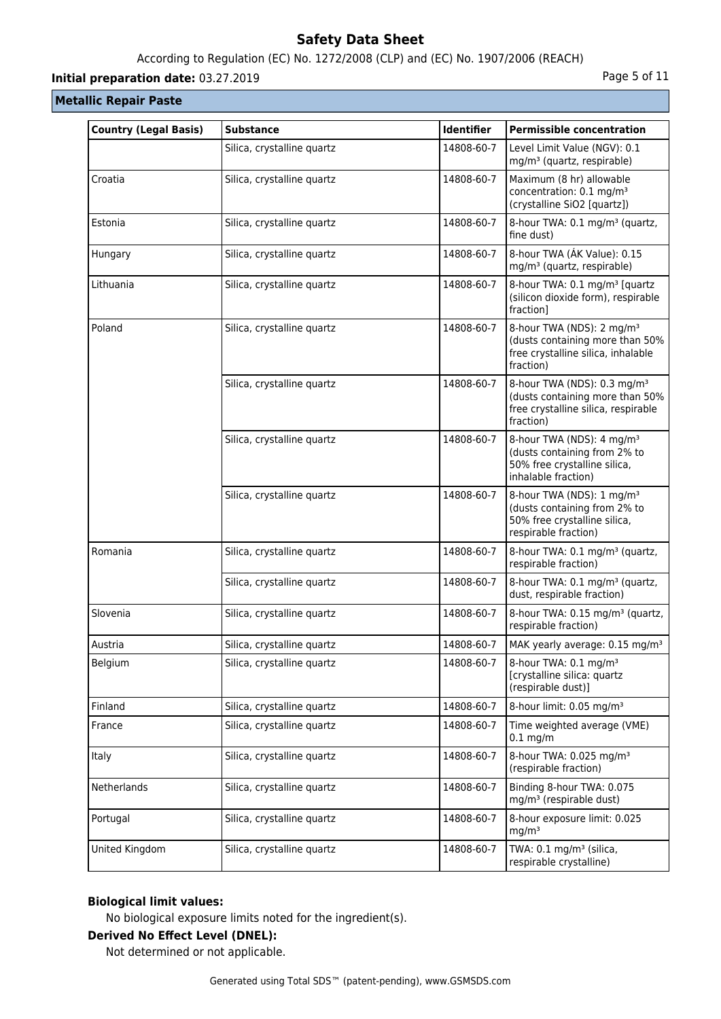# According to Regulation (EC) No. 1272/2008 (CLP) and (EC) No. 1907/2006 (REACH)

# **Initial preparation date:** 03.27.2019 **Page 1 and 2018** Page 5 of 11

# **Metallic Repair Paste**

| <b>Country (Legal Basis)</b> | <b>Substance</b>           | Identifier | <b>Permissible concentration</b>                                                                                               |
|------------------------------|----------------------------|------------|--------------------------------------------------------------------------------------------------------------------------------|
|                              | Silica, crystalline quartz | 14808-60-7 | Level Limit Value (NGV): 0.1<br>mg/m <sup>3</sup> (quartz, respirable)                                                         |
| Croatia                      | Silica, crystalline quartz | 14808-60-7 | Maximum (8 hr) allowable<br>concentration: 0.1 mg/m <sup>3</sup><br>(crystalline SiO2 [quartz])                                |
| Estonia                      | Silica, crystalline quartz | 14808-60-7 | 8-hour TWA: 0.1 mg/m <sup>3</sup> (quartz,<br>fine dust)                                                                       |
| Hungary                      | Silica, crystalline quartz | 14808-60-7 | 8-hour TWA (AK Value): 0.15<br>mg/m <sup>3</sup> (quartz, respirable)                                                          |
| Lithuania                    | Silica, crystalline quartz | 14808-60-7 | 8-hour TWA: 0.1 mg/m <sup>3</sup> [quartz<br>(silicon dioxide form), respirable<br>fraction]                                   |
| Poland                       | Silica, crystalline quartz | 14808-60-7 | 8-hour TWA (NDS): 2 mg/m <sup>3</sup><br>(dusts containing more than 50%<br>free crystalline silica, inhalable<br>fraction)    |
|                              | Silica, crystalline quartz | 14808-60-7 | 8-hour TWA (NDS): 0.3 mg/m <sup>3</sup><br>(dusts containing more than 50%<br>free crystalline silica, respirable<br>fraction) |
|                              | Silica, crystalline quartz | 14808-60-7 | 8-hour TWA (NDS): 4 mg/m <sup>3</sup><br>(dusts containing from 2% to<br>50% free crystalline silica,<br>inhalable fraction)   |
|                              | Silica, crystalline quartz | 14808-60-7 | 8-hour TWA (NDS): 1 mg/m <sup>3</sup><br>(dusts containing from 2% to<br>50% free crystalline silica,<br>respirable fraction)  |
| Romania                      | Silica, crystalline quartz | 14808-60-7 | 8-hour TWA: 0.1 mg/m <sup>3</sup> (quartz,<br>respirable fraction)                                                             |
|                              | Silica, crystalline quartz | 14808-60-7 | 8-hour TWA: 0.1 mg/m <sup>3</sup> (quartz,<br>dust, respirable fraction)                                                       |
| Slovenia                     | Silica, crystalline quartz | 14808-60-7 | 8-hour TWA: 0.15 mg/m <sup>3</sup> (quartz,<br>respirable fraction)                                                            |
| Austria                      | Silica, crystalline quartz | 14808-60-7 | MAK yearly average: 0.15 mg/m <sup>3</sup>                                                                                     |
| Belgium                      | Silica, crystalline quartz | 14808-60-7 | 8-hour TWA: 0.1 mg/m <sup>3</sup><br>[crystalline silica: quartz<br>(respirable dust)]                                         |
| Finland                      | Silica, crystalline quartz | 14808-60-7 | 8-hour limit: 0.05 mg/m <sup>3</sup>                                                                                           |
| France                       | Silica, crystalline quartz | 14808-60-7 | Time weighted average (VME)<br>$0.1$ mg/m                                                                                      |
| <b>Italy</b>                 | Silica, crystalline quartz | 14808-60-7 | 8-hour TWA: 0.025 mg/m <sup>3</sup><br>(respirable fraction)                                                                   |
| Netherlands                  | Silica, crystalline quartz | 14808-60-7 | Binding 8-hour TWA: 0.075<br>mg/m <sup>3</sup> (respirable dust)                                                               |
| Portugal                     | Silica, crystalline quartz | 14808-60-7 | 8-hour exposure limit: 0.025<br>mg/m <sup>3</sup>                                                                              |
| United Kingdom               | Silica, crystalline quartz | 14808-60-7 | TWA: 0.1 mg/m <sup>3</sup> (silica,<br>respirable crystalline)                                                                 |

# **Biological limit values:**

No biological exposure limits noted for the ingredient(s).

# **Derived No Effect Level (DNEL):**

Not determined or not applicable.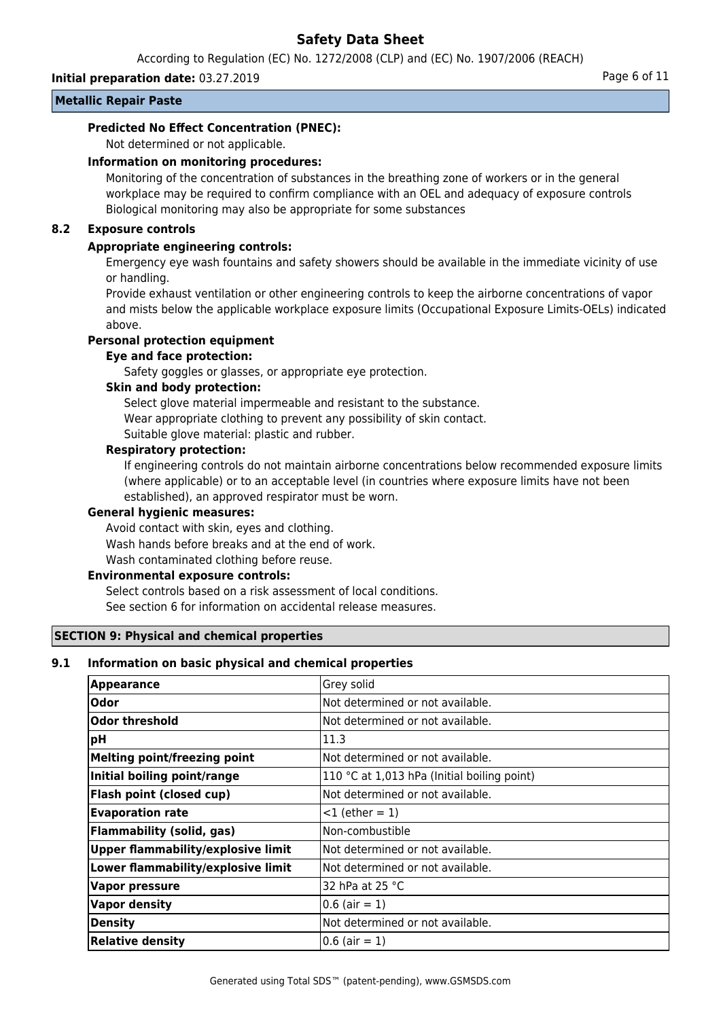According to Regulation (EC) No. 1272/2008 (CLP) and (EC) No. 1907/2006 (REACH)

**Initial preparation date:** 03.27.2019 **Page 6 of 11** 

# **Metallic Repair Paste**

## **Predicted No Effect Concentration (PNEC):**

Not determined or not applicable.

## **Information on monitoring procedures:**

Monitoring of the concentration of substances in the breathing zone of workers or in the general workplace may be required to confirm compliance with an OEL and adequacy of exposure controls Biological monitoring may also be appropriate for some substances

## **8.2 Exposure controls**

## **Appropriate engineering controls:**

Emergency eye wash fountains and safety showers should be available in the immediate vicinity of use or handling.

Provide exhaust ventilation or other engineering controls to keep the airborne concentrations of vapor and mists below the applicable workplace exposure limits (Occupational Exposure Limits-OELs) indicated above.

# **Personal protection equipment**

#### **Eye and face protection:**

Safety goggles or glasses, or appropriate eye protection.

## **Skin and body protection:**

Select glove material impermeable and resistant to the substance. Wear appropriate clothing to prevent any possibility of skin contact. Suitable glove material: plastic and rubber.

## **Respiratory protection:**

If engineering controls do not maintain airborne concentrations below recommended exposure limits (where applicable) or to an acceptable level (in countries where exposure limits have not been established), an approved respirator must be worn.

#### **General hygienic measures:**

Avoid contact with skin, eyes and clothing. Wash hands before breaks and at the end of work. Wash contaminated clothing before reuse.

#### **Environmental exposure controls:**

Select controls based on a risk assessment of local conditions. See section 6 for information on accidental release measures.

#### **SECTION 9: Physical and chemical properties**

### **9.1 Information on basic physical and chemical properties**

| <b>Appearance</b>                         | Grey solid                                  |
|-------------------------------------------|---------------------------------------------|
| <b>Odor</b>                               | Not determined or not available.            |
| <b>Odor threshold</b>                     | Not determined or not available.            |
| рH                                        | 11.3                                        |
| <b>Melting point/freezing point</b>       | Not determined or not available.            |
| Initial boiling point/range               | 110 °C at 1,013 hPa (Initial boiling point) |
| Flash point (closed cup)                  | Not determined or not available.            |
| <b>Evaporation rate</b>                   | $<$ 1 (ether = 1)                           |
| <b>Flammability (solid, gas)</b>          | Non-combustible                             |
| <b>Upper flammability/explosive limit</b> | Not determined or not available.            |
| Lower flammability/explosive limit        | Not determined or not available.            |
| <b>Vapor pressure</b>                     | 32 hPa at 25 °C                             |
| <b>Vapor density</b>                      | $0.6$ (air = 1)                             |
| <b>Density</b>                            | Not determined or not available.            |
| <b>Relative density</b>                   | $ 0.6$ (air = 1)                            |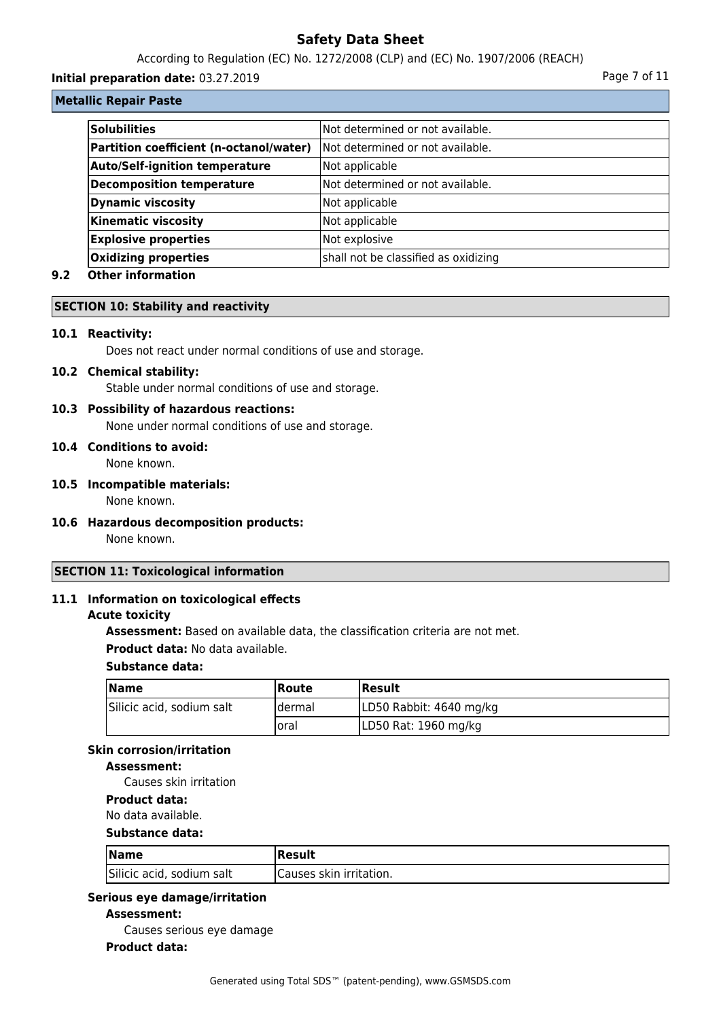According to Regulation (EC) No. 1272/2008 (CLP) and (EC) No. 1907/2006 (REACH)

## **Initial preparation date:** 03.27.2019 **Page 7 of 11**

## **Metallic Repair Paste**

| <b>Solubilities</b>                     | Not determined or not available.     |
|-----------------------------------------|--------------------------------------|
| Partition coefficient (n-octanol/water) | Not determined or not available.     |
| <b>Auto/Self-ignition temperature</b>   | Not applicable                       |
| <b>Decomposition temperature</b>        | Not determined or not available.     |
| <b>Dynamic viscosity</b>                | Not applicable                       |
| <b>Kinematic viscosity</b>              | Not applicable                       |
| <b>Explosive properties</b>             | Not explosive                        |
| <b>Oxidizing properties</b>             | shall not be classified as oxidizing |

# **9.2 Other information**

#### **SECTION 10: Stability and reactivity**

#### **10.1 Reactivity:**

Does not react under normal conditions of use and storage.

## **10.2 Chemical stability:**

Stable under normal conditions of use and storage.

#### **10.3 Possibility of hazardous reactions:**

None under normal conditions of use and storage.

# **10.4 Conditions to avoid:**

None known.

- **10.5 Incompatible materials:** None known.
- **10.6 Hazardous decomposition products:**

None known.

# **SECTION 11: Toxicological information**

## **11.1 Information on toxicological effects**

## **Acute toxicity**

**Assessment:** Based on available data, the classification criteria are not met. **Product data:** No data available.

#### **Substance data:**

| <b>Name</b>               | Route   | <b>Result</b>           |
|---------------------------|---------|-------------------------|
| Silicic acid, sodium salt | ldermal | LD50 Rabbit: 4640 mg/kg |
|                           | loral   | LD50 Rat: 1960 mg/kg    |

# **Skin corrosion/irritation**

## **Assessment:**

Causes skin irritation

# **Product data:**

No data available.

# **Substance data:**

| <b>Name</b>               | Result                  |
|---------------------------|-------------------------|
| Silicic acid, sodium salt | Causes skin irritation. |

# **Serious eye damage/irritation**

**Assessment:**

Causes serious eye damage

## **Product data:**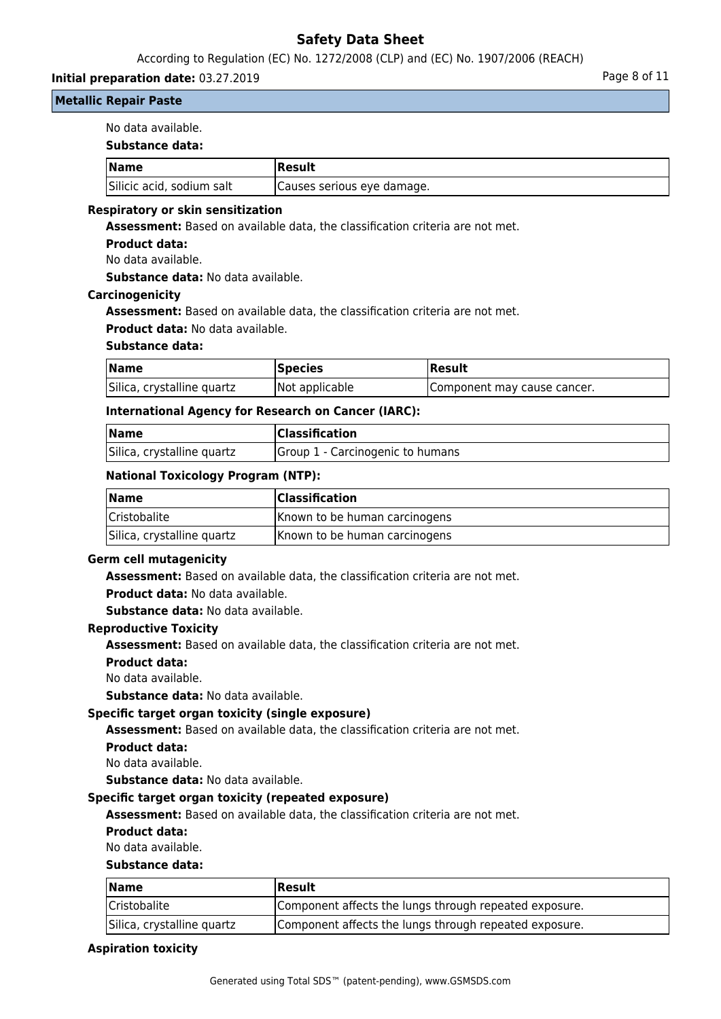According to Regulation (EC) No. 1272/2008 (CLP) and (EC) No. 1907/2006 (REACH)

## **Initial preparation date:** 03.27.2019 **Page 8 of 11**

## **Metallic Repair Paste**

No data available.

|  |  | Substance data: |
|--|--|-----------------|
|--|--|-----------------|

| <b>Name</b>               | Result                     |
|---------------------------|----------------------------|
| Silicic acid, sodium salt | Causes serious eye damage. |

### **Respiratory or skin sensitization**

**Assessment:** Based on available data, the classification criteria are not met.

#### **Product data:**

No data available.

**Substance data:** No data available.

#### **Carcinogenicity**

**Assessment:** Based on available data, the classification criteria are not met.

**Product data:** No data available.

### **Substance data:**

| <b>Name</b>                | <b>Species</b> | Result                      |
|----------------------------|----------------|-----------------------------|
| Silica, crystalline quartz | Not applicable | Component may cause cancer. |

#### **International Agency for Research on Cancer (IARC):**

| <b>Name</b>                | <b>Classification</b>            |
|----------------------------|----------------------------------|
| Silica, crystalline quartz | Group 1 - Carcinogenic to humans |

#### **National Toxicology Program (NTP):**

| Name                       | <b>Classification</b>         |
|----------------------------|-------------------------------|
| <b>Cristobalite</b>        | Known to be human carcinogens |
| Silica, crystalline quartz | Known to be human carcinogens |

#### **Germ cell mutagenicity**

**Assessment:** Based on available data, the classification criteria are not met.

**Product data:** No data available.

**Substance data:** No data available.

#### **Reproductive Toxicity**

**Assessment:** Based on available data, the classification criteria are not met.

**Product data:**

No data available.

**Substance data:** No data available.

#### **Specific target organ toxicity (single exposure)**

**Assessment:** Based on available data, the classification criteria are not met.

**Product data:**

No data available.

**Substance data:** No data available.

#### **Specific target organ toxicity (repeated exposure)**

**Assessment:** Based on available data, the classification criteria are not met.

**Product data:**

No data available.

#### **Substance data:**

| <b>Name</b>                | Result                                                 |
|----------------------------|--------------------------------------------------------|
| Cristobalite               | Component affects the lungs through repeated exposure. |
| Silica, crystalline quartz | Component affects the lungs through repeated exposure. |

#### **Aspiration toxicity**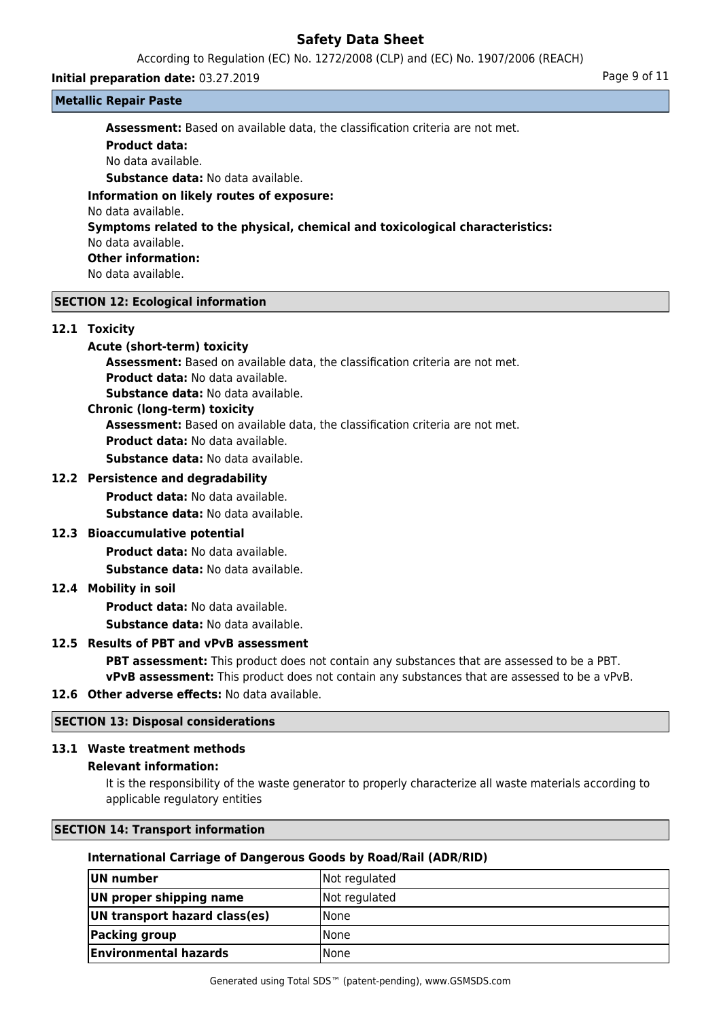According to Regulation (EC) No. 1272/2008 (CLP) and (EC) No. 1907/2006 (REACH)

#### **Initial preparation date:** 03.27.2019 **Page 9 of 11**

**Metallic Repair Paste**

**Assessment:** Based on available data, the classification criteria are not met.

**Product data:** No data available. **Substance data:** No data available. **Information on likely routes of exposure:** No data available. **Symptoms related to the physical, chemical and toxicological characteristics:** No data available. **Other information:** No data available.

# **SECTION 12: Ecological information**

#### **12.1 Toxicity**

## **Acute (short-term) toxicity**

**Assessment:** Based on available data, the classification criteria are not met. **Product data:** No data available.

**Substance data:** No data available.

#### **Chronic (long-term) toxicity**

**Assessment:** Based on available data, the classification criteria are not met.

**Product data:** No data available.

**Substance data:** No data available.

## **12.2 Persistence and degradability**

**Product data:** No data available.

**Substance data:** No data available.

# **12.3 Bioaccumulative potential**

**Product data:** No data available.

**Substance data:** No data available.

# **12.4 Mobility in soil**

**Product data:** No data available.

**Substance data:** No data available.

# **12.5 Results of PBT and vPvB assessment**

**PBT assessment:** This product does not contain any substances that are assessed to be a PBT. **vPvB assessment:** This product does not contain any substances that are assessed to be a vPvB.

# **12.6 Other adverse effects:** No data available.

# **SECTION 13: Disposal considerations**

# **13.1 Waste treatment methods**

# **Relevant information:**

It is the responsibility of the waste generator to properly characterize all waste materials according to applicable regulatory entities

# **SECTION 14: Transport information**

# **International Carriage of Dangerous Goods by Road/Rail (ADR/RID)**

| UN number                     | Not regulated |
|-------------------------------|---------------|
| UN proper shipping name       | Not regulated |
| UN transport hazard class(es) | <b>None</b>   |
| Packing group                 | <b>None</b>   |
| <b>Environmental hazards</b>  | l None        |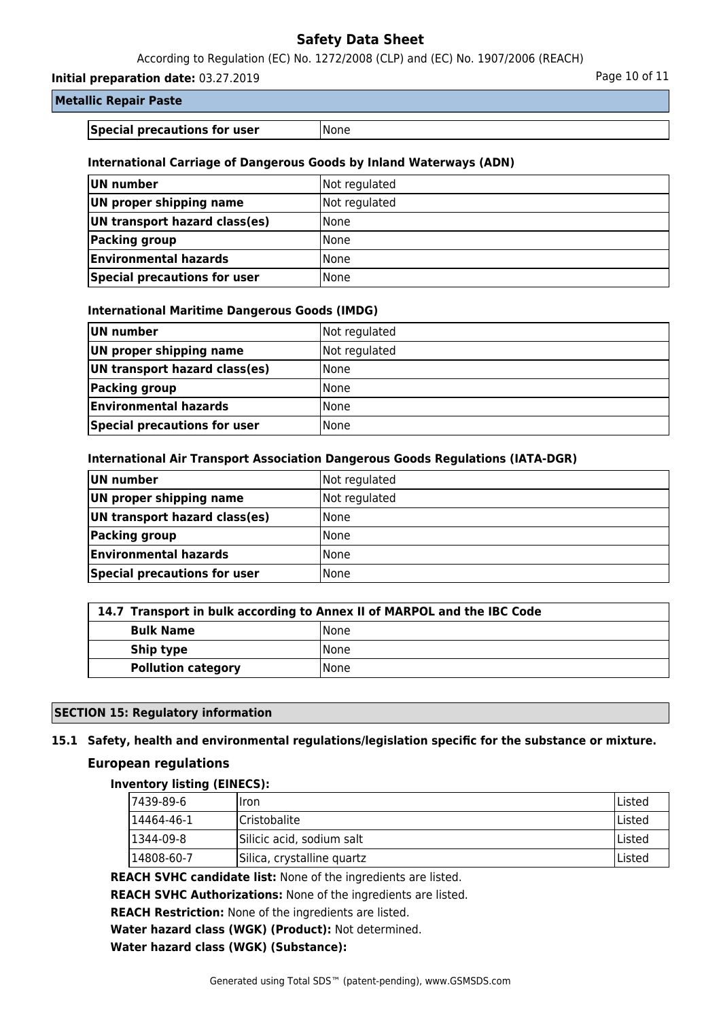According to Regulation (EC) No. 1272/2008 (CLP) and (EC) No. 1907/2006 (REACH)

**Initial preparation date:** 03.27.2019 **Page 10 of 11** 

# **Metallic Repair Paste**

**Special precautions for user** None

# **International Carriage of Dangerous Goods by Inland Waterways (ADN)**

| UN number                     | Not regulated |
|-------------------------------|---------------|
| UN proper shipping name       | Not regulated |
| UN transport hazard class(es) | l None        |
| Packing group                 | l None        |
| <b>Environmental hazards</b>  | None          |
| Special precautions for user  | l None        |

## **International Maritime Dangerous Goods (IMDG)**

| UN number                     | Not regulated |
|-------------------------------|---------------|
| UN proper shipping name       | Not regulated |
| UN transport hazard class(es) | l None        |
| Packing group                 | l None        |
| <b>Environmental hazards</b>  | l None        |
| Special precautions for user  | <b>None</b>   |

## **International Air Transport Association Dangerous Goods Regulations (IATA-DGR)**

| UN number                     | Not regulated |
|-------------------------------|---------------|
| UN proper shipping name       | Not regulated |
| UN transport hazard class(es) | l None        |
| Packing group                 | None          |
| <b>Environmental hazards</b>  | None          |
| Special precautions for user  | l None        |

# **14.7 Transport in bulk according to Annex II of MARPOL and the IBC Code Bulk Name** None **Ship type**  $\left| \text{None} \right|$

# **SECTION 15: Regulatory information**

# **15.1 Safety, health and environmental regulations/legislation specific for the substance or mixture.**

#### **European regulations**

#### **Inventory listing (EINECS):**

| 17439-89-6 | Ilron                      | <b>IListed</b> |
|------------|----------------------------|----------------|
| 14464-46-1 | <b>Cristobalite</b>        | lListed        |
| 1344-09-8  | Silicic acid, sodium salt  | lListed        |
| 14808-60-7 | Silica, crystalline quartz | lListed        |

**REACH SVHC candidate list:** None of the ingredients are listed.

**REACH SVHC Authorizations:** None of the ingredients are listed.

**REACH Restriction:** None of the ingredients are listed.

**Water hazard class (WGK) (Product):** Not determined.

**Water hazard class (WGK) (Substance):**

**Pollution category** None